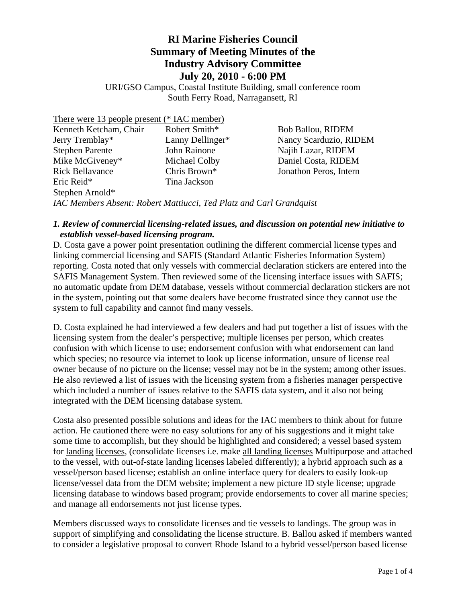# **RI Marine Fisheries Council Summary of Meeting Minutes of the Industry Advisory Committee July 20, 2010 - 6:00 PM**

URI/GSO Campus, Coastal Institute Building, small conference room South Ferry Road, Narragansett, RI

| There were 13 people present (* IAC member)                         |                  |                          |
|---------------------------------------------------------------------|------------------|--------------------------|
| Kenneth Ketcham, Chair                                              | Robert Smith*    | <b>Bob Ballou, RIDEM</b> |
| Jerry Tremblay*                                                     | Lanny Dellinger* | Nancy Scarduzio, RIDEM   |
| <b>Stephen Parente</b>                                              | John Rainone     | Najih Lazar, RIDEM       |
| Mike McGiveney*                                                     | Michael Colby    | Daniel Costa, RIDEM      |
| <b>Rick Bellavance</b>                                              | Chris Brown*     | Jonathon Peros, Intern   |
| Eric Reid*                                                          | Tina Jackson     |                          |
| Stephen Arnold*                                                     |                  |                          |
| IAC Members Absent: Robert Mattiucci, Ted Platz and Carl Grandquist |                  |                          |

#### *1. Review of commercial licensing-related issues, and discussion on potential new initiative to establish vessel-based licensing program.*

D. Costa gave a power point presentation outlining the different commercial license types and linking commercial licensing and SAFIS (Standard Atlantic Fisheries Information System) reporting. Costa noted that only vessels with commercial declaration stickers are entered into the SAFIS Management System. Then reviewed some of the licensing interface issues with SAFIS; no automatic update from DEM database, vessels without commercial declaration stickers are not in the system, pointing out that some dealers have become frustrated since they cannot use the system to full capability and cannot find many vessels.

D. Costa explained he had interviewed a few dealers and had put together a list of issues with the licensing system from the dealer's perspective; multiple licenses per person, which creates confusion with which license to use; endorsement confusion with what endorsement can land which species; no resource via internet to look up license information, unsure of license real owner because of no picture on the license; vessel may not be in the system; among other issues. He also reviewed a list of issues with the licensing system from a fisheries manager perspective which included a number of issues relative to the SAFIS data system, and it also not being integrated with the DEM licensing database system.

Costa also presented possible solutions and ideas for the IAC members to think about for future action. He cautioned there were no easy solutions for any of his suggestions and it might take some time to accomplish, but they should be highlighted and considered; a vessel based system for landing licenses, (consolidate licenses i.e. make all landing licenses Multipurpose and attached to the vessel, with out-of-state landing licenses labeled differently); a hybrid approach such as a vessel/person based license; establish an online interface query for dealers to easily look-up license/vessel data from the DEM website; implement a new picture ID style license; upgrade licensing database to windows based program; provide endorsements to cover all marine species; and manage all endorsements not just license types.

Members discussed ways to consolidate licenses and tie vessels to landings. The group was in support of simplifying and consolidating the license structure. B. Ballou asked if members wanted to consider a legislative proposal to convert Rhode Island to a hybrid vessel/person based license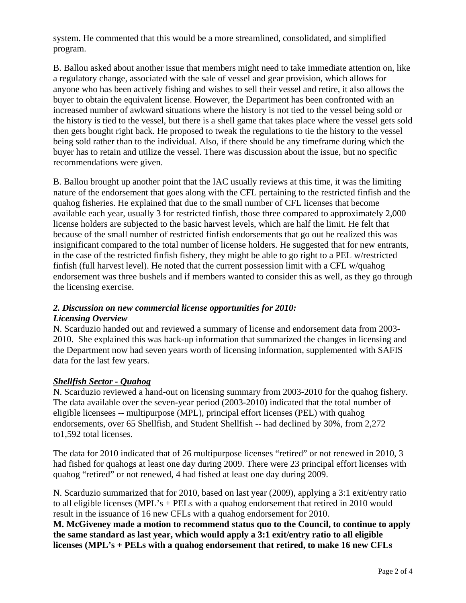system. He commented that this would be a more streamlined, consolidated, and simplified program.

B. Ballou asked about another issue that members might need to take immediate attention on, like a regulatory change, associated with the sale of vessel and gear provision, which allows for anyone who has been actively fishing and wishes to sell their vessel and retire, it also allows the buyer to obtain the equivalent license. However, the Department has been confronted with an increased number of awkward situations where the history is not tied to the vessel being sold or the history is tied to the vessel, but there is a shell game that takes place where the vessel gets sold then gets bought right back. He proposed to tweak the regulations to tie the history to the vessel being sold rather than to the individual. Also, if there should be any timeframe during which the buyer has to retain and utilize the vessel. There was discussion about the issue, but no specific recommendations were given.

B. Ballou brought up another point that the IAC usually reviews at this time, it was the limiting nature of the endorsement that goes along with the CFL pertaining to the restricted finfish and the quahog fisheries. He explained that due to the small number of CFL licenses that become available each year, usually 3 for restricted finfish, those three compared to approximately 2,000 license holders are subjected to the basic harvest levels, which are half the limit. He felt that because of the small number of restricted finfish endorsements that go out he realized this was insignificant compared to the total number of license holders. He suggested that for new entrants, in the case of the restricted finfish fishery, they might be able to go right to a PEL w/restricted finfish (full harvest level). He noted that the current possession limit with a CFL w/quahog endorsement was three bushels and if members wanted to consider this as well, as they go through the licensing exercise.

#### *2. Discussion on new commercial license opportunities for 2010: Licensing Overview*

N. Scarduzio handed out and reviewed a summary of license and endorsement data from 2003- 2010. She explained this was back-up information that summarized the changes in licensing and the Department now had seven years worth of licensing information, supplemented with SAFIS data for the last few years.

# *Shellfish Sector - Quahog*

N. Scarduzio reviewed a hand-out on licensing summary from 2003-2010 for the quahog fishery. The data available over the seven-year period (2003-2010) indicated that the total number of eligible licensees -- multipurpose (MPL), principal effort licenses (PEL) with quahog endorsements, over 65 Shellfish, and Student Shellfish -- had declined by 30%, from 2,272 to1,592 total licenses.

The data for 2010 indicated that of 26 multipurpose licenses "retired" or not renewed in 2010, 3 had fished for quahogs at least one day during 2009. There were 23 principal effort licenses with quahog "retired" or not renewed, 4 had fished at least one day during 2009.

N. Scarduzio summarized that for 2010, based on last year (2009), applying a 3:1 exit/entry ratio to all eligible licenses (MPL's + PELs with a quahog endorsement that retired in 2010 would result in the issuance of 16 new CFLs with a quahog endorsement for 2010.

**M. McGiveney made a motion to recommend status quo to the Council, to continue to apply the same standard as last year, which would apply a 3:1 exit/entry ratio to all eligible licenses (MPL's + PELs with a quahog endorsement that retired, to make 16 new CFLs**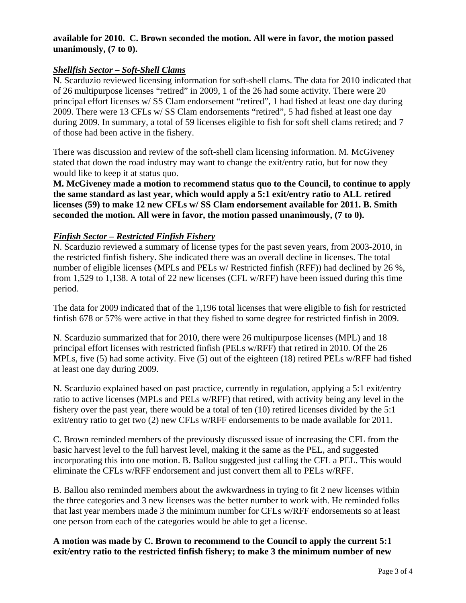# **available for 2010. C. Brown seconded the motion. All were in favor, the motion passed unanimously, (7 to 0).**

#### *Shellfish Sector – Soft-Shell Clams*

N. Scarduzio reviewed licensing information for soft-shell clams. The data for 2010 indicated that of 26 multipurpose licenses "retired" in 2009, 1 of the 26 had some activity. There were 20 principal effort licenses w/ SS Clam endorsement "retired", 1 had fished at least one day during 2009. There were 13 CFLs w/ SS Clam endorsements "retired", 5 had fished at least one day during 2009. In summary, a total of 59 licenses eligible to fish for soft shell clams retired; and 7 of those had been active in the fishery.

There was discussion and review of the soft-shell clam licensing information. M. McGiveney stated that down the road industry may want to change the exit/entry ratio, but for now they would like to keep it at status quo.

**M. McGiveney made a motion to recommend status quo to the Council, to continue to apply the same standard as last year, which would apply a 5:1 exit/entry ratio to ALL retired licenses (59) to make 12 new CFLs w/ SS Clam endorsement available for 2011. B. Smith seconded the motion. All were in favor, the motion passed unanimously, (7 to 0).** 

### *Finfish Sector – Restricted Finfish Fishery*

N. Scarduzio reviewed a summary of license types for the past seven years, from 2003-2010, in the restricted finfish fishery. She indicated there was an overall decline in licenses. The total number of eligible licenses (MPLs and PELs w/ Restricted finfish (RFF)) had declined by 26 %, from 1,529 to 1,138. A total of 22 new licenses (CFL w/RFF) have been issued during this time period.

The data for 2009 indicated that of the 1,196 total licenses that were eligible to fish for restricted finfish 678 or 57% were active in that they fished to some degree for restricted finfish in 2009.

N. Scarduzio summarized that for 2010, there were 26 multipurpose licenses (MPL) and 18 principal effort licenses with restricted finfish (PELs w/RFF) that retired in 2010. Of the 26 MPLs, five (5) had some activity. Five (5) out of the eighteen (18) retired PELs w/RFF had fished at least one day during 2009.

N. Scarduzio explained based on past practice, currently in regulation, applying a 5:1 exit/entry ratio to active licenses (MPLs and PELs w/RFF) that retired, with activity being any level in the fishery over the past year, there would be a total of ten (10) retired licenses divided by the 5:1 exit/entry ratio to get two (2) new CFLs w/RFF endorsements to be made available for 2011.

C. Brown reminded members of the previously discussed issue of increasing the CFL from the basic harvest level to the full harvest level, making it the same as the PEL, and suggested incorporating this into one motion. B. Ballou suggested just calling the CFL a PEL. This would eliminate the CFLs w/RFF endorsement and just convert them all to PELs w/RFF.

B. Ballou also reminded members about the awkwardness in trying to fit 2 new licenses within the three categories and 3 new licenses was the better number to work with. He reminded folks that last year members made 3 the minimum number for CFLs w/RFF endorsements so at least one person from each of the categories would be able to get a license.

**A motion was made by C. Brown to recommend to the Council to apply the current 5:1 exit/entry ratio to the restricted finfish fishery; to make 3 the minimum number of new**